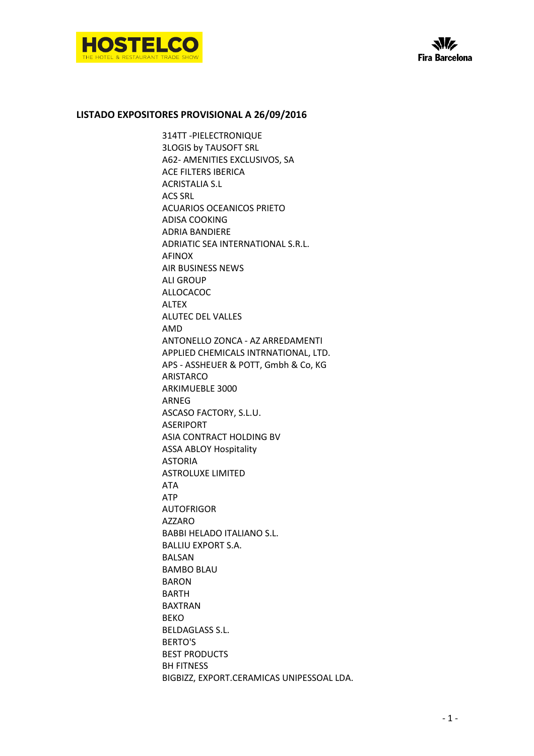

## **LISTADO EXPOSITORES PROVISIONAL A 26/09/2016**

314TT -PIELECTRONIQUE 3LOGIS by TAUSOFT SRL A62- AMENITIES EXCLUSIVOS, SA ACE FILTERS IBERICA ACRISTALIA S.L ACS SRL ACUARIOS OCEANICOS PRIETO ADISA COOKING ADRIA BANDIERE ADRIATIC SEA INTERNATIONAL S.R.L. AFINOX AIR BUSINESS NEWS ALI GROUP ALLOCACOC ALTEX ALUTEC DEL VALLES AMD ANTONELLO ZONCA - AZ ARREDAMENTI APPLIED CHEMICALS INTRNATIONAL, LTD. APS - ASSHEUER & POTT, Gmbh & Co, KG ARISTARCO ARKIMUEBLE 3000 ARNEG ASCASO FACTORY, S.L.U. ASERIPORT ASIA CONTRACT HOLDING BV ASSA ABLOY Hospitality ASTORIA ASTROLUXE LIMITED ATA ATP AUTOFRIGOR AZZARO BABBI HELADO ITALIANO S.L. BALLIU EXPORT S.A. **BALSAN** BAMBO BLAU BARON BARTH BAXTRAN BEKO BELDAGLASS S.L. BERTO'S BEST PRODUCTS BH FITNESS BIGBIZZ, EXPORT.CERAMICAS UNIPESSOAL LDA.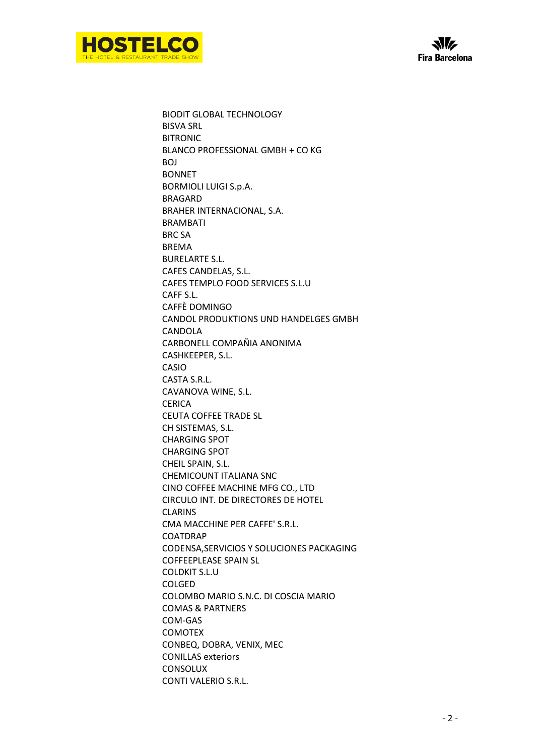



BIODIT GLOBAL TECHNOLOGY BISVA SRL BITRONIC BLANCO PROFESSIONAL GMBH + CO KG BOJ BONNET BORMIOLI LUIGI S.p.A. BRAGARD BRAHER INTERNACIONAL, S.A. BRAMBATI BRC SA BREMA BURELARTE S.L. CAFES CANDELAS, S.L. CAFES TEMPLO FOOD SERVICES S.L.U CAFF S.L. CAFFÈ DOMINGO CANDOL PRODUKTIONS UND HANDELGES GMBH **CANDOLA** CARBONELL COMPAÑIA ANONIMA CASHKEEPER, S.L. CASIO CASTA S.R.L. CAVANOVA WINE, S.L. **CERICA** CEUTA COFFEE TRADE SL CH SISTEMAS, S.L. CHARGING SPOT CHARGING SPOT CHEIL SPAIN, S.L. CHEMICOUNT ITALIANA SNC CINO COFFEE MACHINE MFG CO., LTD CIRCULO INT. DE DIRECTORES DE HOTEL CLARINS CMA MACCHINE PER CAFFE' S.R.L. COATDRAP CODENSA,SERVICIOS Y SOLUCIONES PACKAGING COFFEEPLEASE SPAIN SL COLDKIT S.L.U COLGED COLOMBO MARIO S.N.C. DI COSCIA MARIO COMAS & PARTNERS COM-GAS COMOTEX CONBEQ, DOBRA, VENIX, MEC CONILLAS exteriors **CONSOLUX** CONTI VALERIO S.R.L.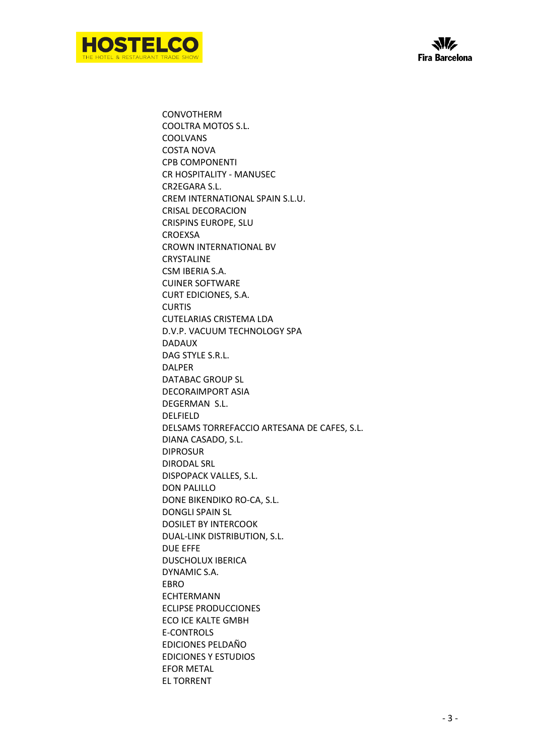



CONVOTHERM COOLTRA MOTOS S.L. COOLVANS COSTA NOVA CPB COMPONENTI CR HOSPITALITY - MANUSEC CR2EGARA S.L. CREM INTERNATIONAL SPAIN S.L.U. CRISAL DECORACION CRISPINS EUROPE, SLU CROEXSA CROWN INTERNATIONAL BV CRYSTALINE CSM IBERIA S.A. CUINER SOFTWARE CURT EDICIONES, S.A. CURTIS CUTELARIAS CRISTEMA LDA D.V.P. VACUUM TECHNOLOGY SPA DADAUX DAG STYLE S.R.L. DALPER DATABAC GROUP SL DECORAIMPORT ASIA DEGERMAN S.L. DELFIELD DELSAMS TORREFACCIO ARTESANA DE CAFES, S.L. DIANA CASADO, S.L. DIPROSUR DIRODAL SRL DISPOPACK VALLES, S.L. DON PALILLO DONE BIKENDIKO RO-CA, S.L. DONGLI SPAIN SL DOSILET BY INTERCOOK DUAL-LINK DISTRIBUTION, S.L. DUE EFFE DUSCHOLUX IBERICA DYNAMIC S.A. EBRO ECHTERMANN ECLIPSE PRODUCCIONES ECO ICE KALTE GMBH E-CONTROLS EDICIONES PELDAÑO EDICIONES Y ESTUDIOS EFOR METAL EL TORRENT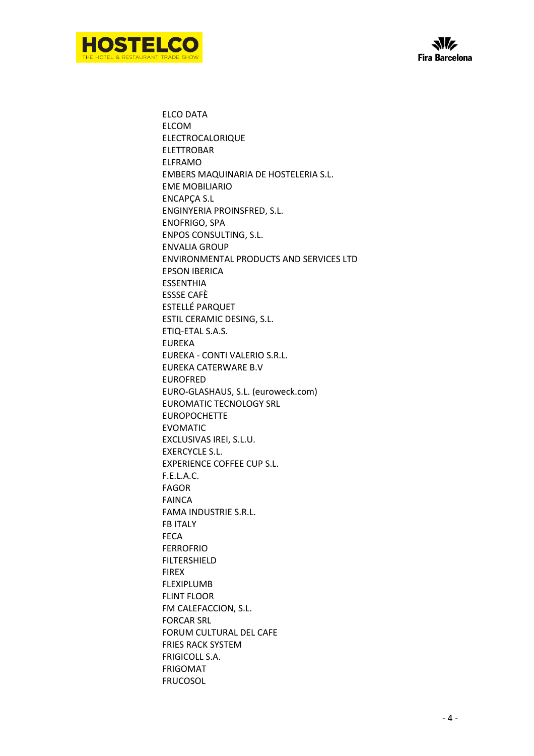



ELCO DATA ELCOM ELECTROCALORIQUE ELETTROBAR ELFRAMO EMBERS MAQUINARIA DE HOSTELERIA S.L. EME MOBILIARIO ENCAPÇA S.L ENGINYERIA PROINSFRED, S.L. ENOFRIGO, SPA ENPOS CONSULTING, S.L. ENVALIA GROUP ENVIRONMENTAL PRODUCTS AND SERVICES LTD EPSON IBERICA ESSENTHIA ESSSE CAFÈ ESTELLÉ PARQUET ESTIL CERAMIC DESING, S.L. ETIQ-ETAL S.A.S. EUREKA EUREKA - CONTI VALERIO S.R.L. EUREKA CATERWARE B.V EUROFRED EURO-GLASHAUS, S.L. (euroweck.com) EUROMATIC TECNOLOGY SRL EUROPOCHETTE EVOMATIC EXCLUSIVAS IREI, S.L.U. EXERCYCLE S.L. EXPERIENCE COFFEE CUP S.L. F.E.L.A.C. FAGOR FAINCA FAMA INDUSTRIE S.R.L. FB ITALY FECA FERROFRIO FILTERSHIELD FIREX FLEXIPLUMB FLINT FLOOR FM CALEFACCION, S.L. FORCAR SRL FORUM CULTURAL DEL CAFE FRIES RACK SYSTEM FRIGICOLL S.A. FRIGOMAT FRUCOSOL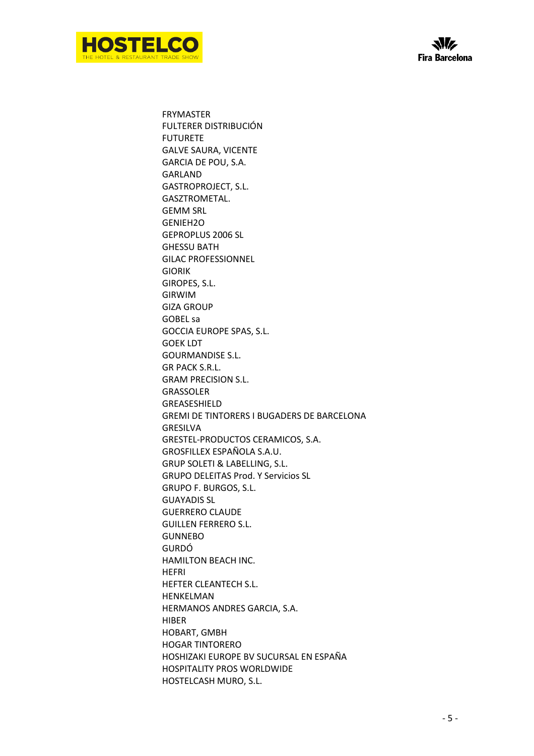

FRYMASTER FULTERER DISTRIBUCIÓN FUTURETE GALVE SAURA, VICENTE GARCIA DE POU, S.A. GARLAND GASTROPROJECT, S.L. GASZTROMETAL. GEMM SRL GENIEH2O GEPROPLUS 2006 SL GHESSU BATH GILAC PROFESSIONNEL GIORIK GIROPES, S.L. GIRWIM GIZA GROUP GOBEL sa GOCCIA EUROPE SPAS, S.L. GOEK LDT GOURMANDISE S.L. GR PACK S.R.L. GRAM PRECISION S.L. GRASSOLER **GREASESHIFLD** GREMI DE TINTORERS I BUGADERS DE BARCELONA GRESILVA GRESTEL-PRODUCTOS CERAMICOS, S.A. GROSFILLEX ESPAÑOLA S.A.U. GRUP SOLETI & LABELLING, S.L. GRUPO DELEITAS Prod. Y Servicios SL GRUPO F. BURGOS, S.L. GUAYADIS SL GUERRERO CLAUDE GUILLEN FERRERO S.L. GUNNEBO GURDÓ HAMILTON BEACH INC. HEFRI HEFTER CLEANTECH S.L. HENKELMAN HERMANOS ANDRES GARCIA, S.A. HIBER HOBART, GMBH HOGAR TINTORERO HOSHIZAKI EUROPE BV SUCURSAL EN ESPAÑA HOSPITALITY PROS WORLDWIDE HOSTELCASH MURO, S.L.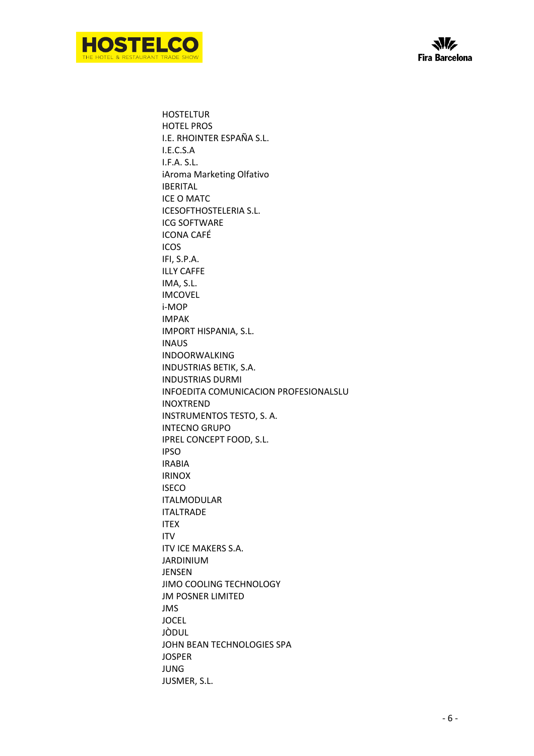



**HOSTELTUR** HOTEL PROS I.E. RHOINTER ESPAÑA S.L. I.E.C.S.A I.F.A. S.L. iAroma Marketing Olfativo IBERITAL ICE O MATC ICESOFTHOSTELERIA S.L. ICG SOFTWARE ICONA CAFÉ ICOS IFI, S.P.A. ILLY CAFFE IMA, S.L. IMCOVEL i-MOP IMPAK IMPORT HISPANIA, S.L. INAUS INDOORWALKING INDUSTRIAS BETIK, S.A. INDUSTRIAS DURMI INFOEDITA COMUNICACION PROFESIONALSLU INOXTREND INSTRUMENTOS TESTO, S. A. INTECNO GRUPO IPREL CONCEPT FOOD, S.L. IPSO IRABIA IRINOX ISECO ITALMODULAR ITALTRADE ITEX ITV ITV ICE MAKERS S.A. JARDINIUM JENSEN JIMO COOLING TECHNOLOGY JM POSNER LIMITED JMS **JOCEL** JÒDUL JOHN BEAN TECHNOLOGIES SPA JOSPER JUNG JUSMER, S.L.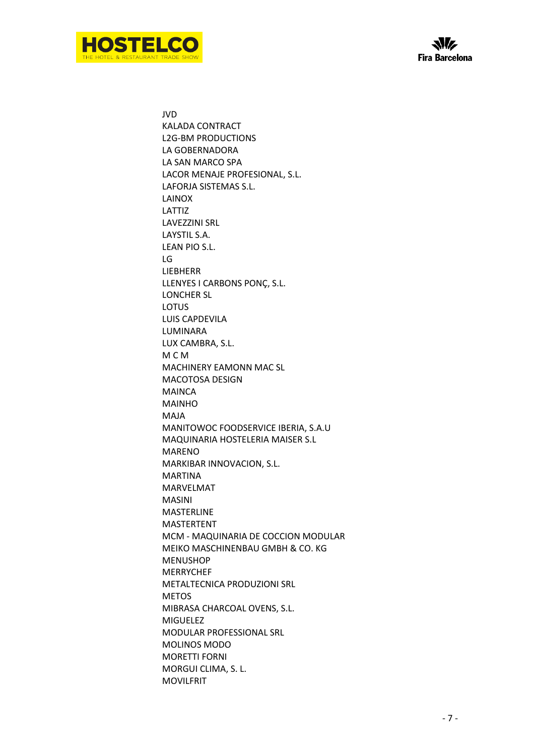



JVD KALADA CONTRACT L2G-BM PRODUCTIONS LA GOBERNADORA LA SAN MARCO SPA LACOR MENAJE PROFESIONAL, S.L. LAFORJA SISTEMAS S.L. LAINOX LATTIZ LAVEZZINI SRL LAYSTIL S.A. LEAN PIO S.L. LG LIEBHERR LLENYES I CARBONS PONÇ, S.L. LONCHER SL LOTUS LUIS CAPDEVILA LUMINARA LUX CAMBRA, S.L. M C M MACHINERY EAMONN MAC SL MACOTOSA DESIGN **MAINCA** MAINHO MAJA MANITOWOC FOODSERVICE IBERIA, S.A.U MAQUINARIA HOSTELERIA MAISER S.L MARENO MARKIBAR INNOVACION, S.L. MARTINA MARVELMAT MASINI MASTERLINE MASTERTENT MCM - MAQUINARIA DE COCCION MODULAR MEIKO MASCHINENBAU GMBH & CO. KG MENUSHOP MERRYCHEF METALTECNICA PRODUZIONI SRL METOS MIBRASA CHARCOAL OVENS, S.L. MIGUELEZ MODULAR PROFESSIONAL SRL MOLINOS MODO MORETTI FORNI MORGUI CLIMA, S. L. MOVILFRIT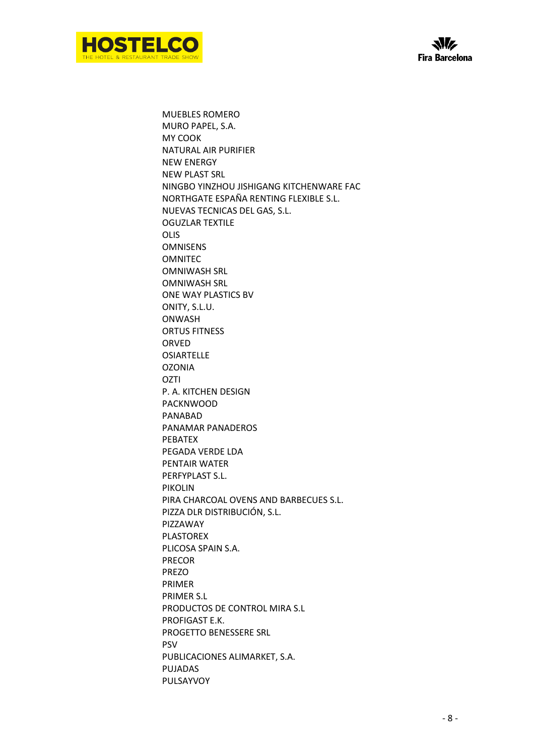



MUEBLES ROMERO MURO PAPEL, S.A. MY COOK NATURAL AIR PURIFIER NEW ENERGY NEW PLAST SRL NINGBO YINZHOU JISHIGANG KITCHENWARE FAC NORTHGATE ESPAÑA RENTING FLEXIBLE S.L. NUEVAS TECNICAS DEL GAS, S.L. OGUZLAR TEXTILE OLIS OMNISENS OMNITEC OMNIWASH SRL OMNIWASH SRL ONE WAY PLASTICS BV ONITY, S.L.U. ONWASH ORTUS FITNESS ORVED **OSIARTELLE** OZONIA **OZTI** P. A. KITCHEN DESIGN PACKNWOOD PANABAD PANAMAR PANADEROS PEBATEX PEGADA VERDE LDA PENTAIR WATER PERFYPLAST S.L. PIKOLIN PIRA CHARCOAL OVENS AND BARBECUES S.L. PIZZA DLR DISTRIBUCIÓN, S.L. PIZZAWAY PLASTOREX PLICOSA SPAIN S.A. PRECOR PREZO PRIMER PRIMER S.L PRODUCTOS DE CONTROL MIRA S.L PROFIGAST E.K. PROGETTO BENESSERE SRL PSV PUBLICACIONES ALIMARKET, S.A. PUJADAS PULSAYVOY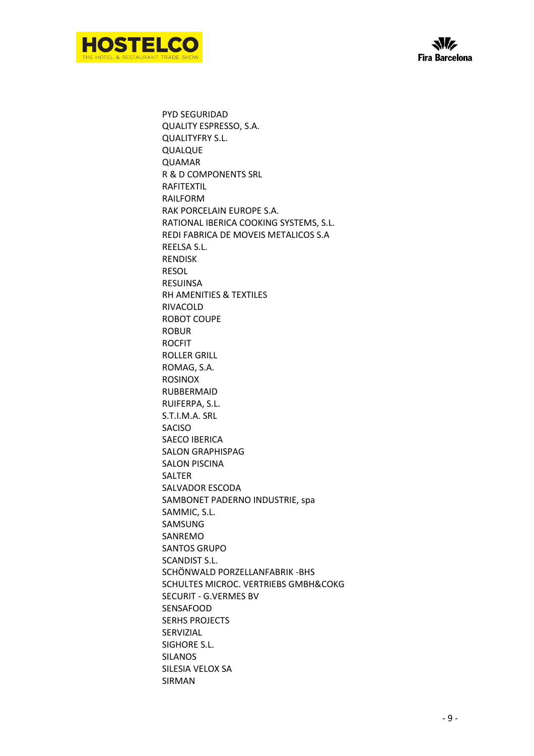



PYD SEGURIDAD QUALITY ESPRESSO, S.A. QUALITYFRY S.L. QUALQUE QUAMAR R & D COMPONENTS SRL RAFITEXTIL RAILFORM RAK PORCELAIN EUROPE S.A. RATIONAL IBERICA COOKING SYSTEMS, S.L. REDI FABRICA DE MOVEIS METALICOS S.A REELSA S.L. RENDISK RESOL RESUINSA RH AMENITIES & TEXTILES RIVACOLD ROBOT COUPE ROBUR ROCFIT ROLLER GRILL ROMAG, S.A. ROSINOX RUBBERMAID RUIFERPA, S.L. S.T.I.M.A. SRL SACISO SAECO IBERICA SALON GRAPHISPAG SALON PISCINA SALTER SALVADOR ESCODA SAMBONET PADERNO INDUSTRIE, spa SAMMIC, S.L. SAMSUNG SANREMO SANTOS GRUPO SCANDIST S.L. SCHÖNWALD PORZELLANFABRIK -BHS SCHULTES MICROC. VERTRIEBS GMBH&COKG SECURIT - G.VERMES BV SENSAFOOD SERHS PROJECTS SERVIZIAL SIGHORE S.L. SILANOS SILESIA VELOX SA SIRMAN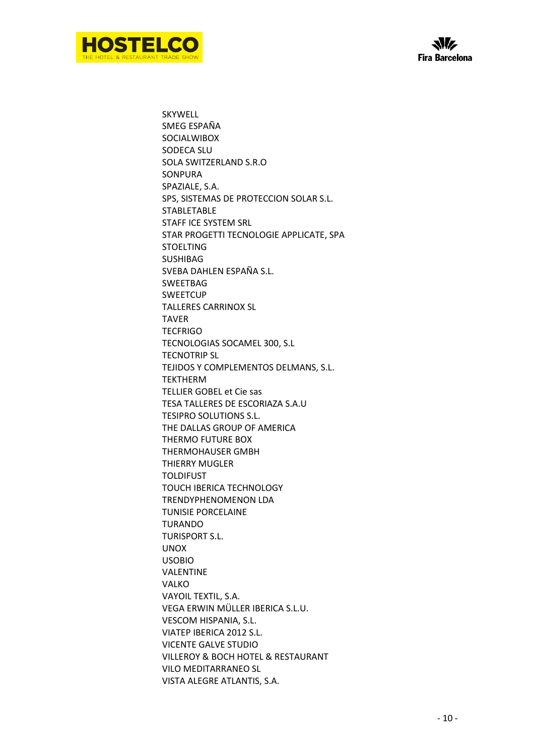



SKYWELL SMEG ESPAÑA SOCIALWIBOX SODECA SLU SOLA SWITZERLAND S.R.O **SONPURA** SPAZIALE, S.A. SPS, SISTEMAS DE PROTECCION SOLAR S.L. STABLETABLE STAFF ICE SYSTEM SRL STAR PROGETTI TECNOLOGIE APPLICATE, SPA **STOELTING** SUSHIBAG SVEBA DAHLEN ESPAÑA S.L. SWEETBAG **SWEETCUP** TALLERES CARRINOX SL TAVER **TECFRIGO** TECNOLOGIAS SOCAMEL 300, S.L TECNOTRIP SL TEJIDOS Y COMPLEMENTOS DELMANS, S.L. TEKTHERM TELLIER GOBEL et Cie sas TESA TALLERES DE ESCORIAZA S.A.U TESIPRO SOLUTIONS S.L. THE DALLAS GROUP OF AMERICA THERMO FUTURE BOX THERMOHAUSER GMBH THIERRY MUGLER TOLDIFUST TOUCH IBERICA TECHNOLOGY TRENDYPHENOMENON LDA TUNISIE PORCELAINE TURANDO TURISPORT S.L. UNOX USOBIO VALENTINE VALKO VAYOIL TEXTIL, S.A. VEGA ERWIN MÜLLER IBERICA S.L.U. VESCOM HISPANIA, S.L. VIATEP IBERICA 2012 S.L. VICENTE GALVE STUDIO VILLEROY & BOCH HOTEL & RESTAURANT VILO MEDITARRANEO SL VISTA ALEGRE ATLANTIS, S.A.